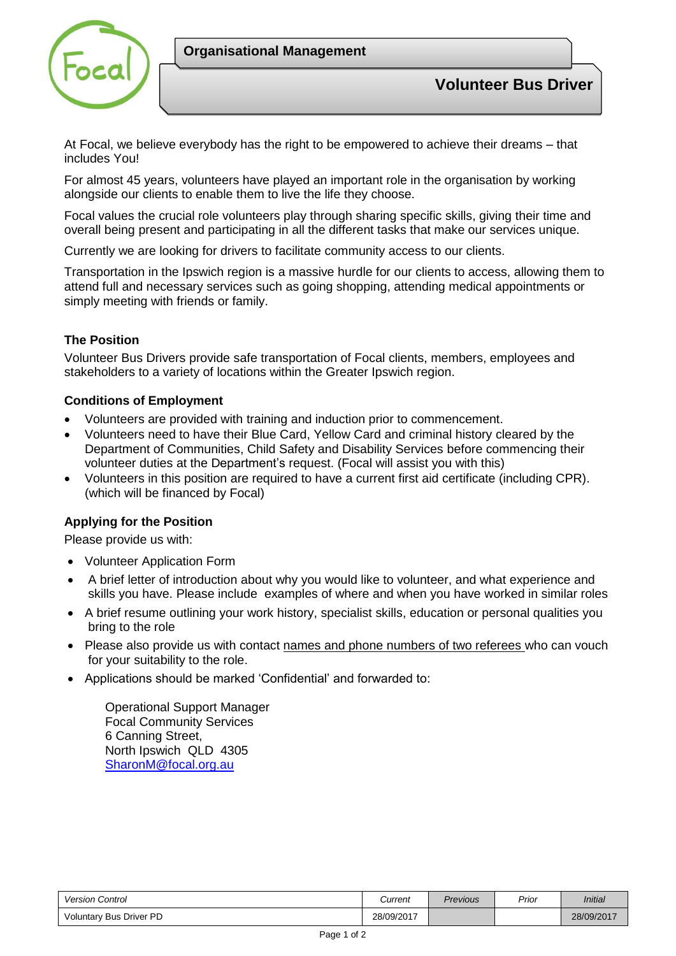

At Focal, we believe everybody has the right to be empowered to achieve their dreams – that includes You!

For almost 45 years, volunteers have played an important role in the organisation by working alongside our clients to enable them to live the life they choose.

Focal values the crucial role volunteers play through sharing specific skills, giving their time and overall being present and participating in all the different tasks that make our services unique.

Currently we are looking for drivers to facilitate community access to our clients.

Transportation in the Ipswich region is a massive hurdle for our clients to access, allowing them to attend full and necessary services such as going shopping, attending medical appointments or simply meeting with friends or family.

## **The Position**

Volunteer Bus Drivers provide safe transportation of Focal clients, members, employees and stakeholders to a variety of locations within the Greater Ipswich region.

## **Conditions of Employment**

- Volunteers are provided with training and induction prior to commencement.
- Volunteers need to have their Blue Card, Yellow Card and criminal history cleared by the Department of Communities, Child Safety and Disability Services before commencing their volunteer duties at the Department's request. (Focal will assist you with this)
- Volunteers in this position are required to have a current first aid certificate (including CPR). (which will be financed by Focal)

## **Applying for the Position**

Please provide us with:

- Volunteer Application Form
- A brief letter of introduction about why you would like to volunteer, and what experience and skills you have. Please include examples of where and when you have worked in similar roles
- A brief resume outlining your work history, specialist skills, education or personal qualities you bring to the role
- Please also provide us with contact names and phone numbers of two referees who can vouch for your suitability to the role.
- Applications should be marked 'Confidential' and forwarded to:

Operational Support Manager Focal Community Services 6 Canning Street, North Ipswich QLD 4305 [SharonM@focal.org.au](mailto:SharonM@focal.org.au)

| <b>Version Control</b>         | Current    | <b>Previous</b> | Prior | Initial    |
|--------------------------------|------------|-----------------|-------|------------|
| <b>Voluntary Bus Driver PD</b> | 28/09/2017 |                 |       | 28/09/2017 |